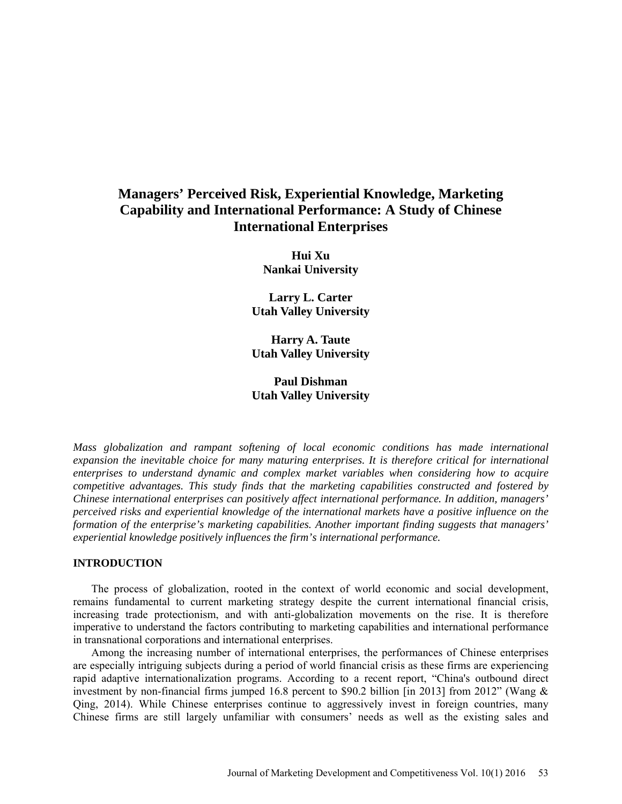# **Managers' Perceived Risk, Experiential Knowledge, Marketing Capability and International Performance: A Study of Chinese International Enterprises**

**Hui Xu Nankai University**

**Larry L. Carter Utah Valley University**

**Harry A. Taute Utah Valley University**

## **Paul Dishman Utah Valley University**

*Mass globalization and rampant softening of local economic conditions has made international expansion the inevitable choice for many maturing enterprises. It is therefore critical for international enterprises to understand dynamic and complex market variables when considering how to acquire competitive advantages. This study finds that the marketing capabilities constructed and fostered by Chinese international enterprises can positively affect international performance. In addition, managers' perceived risks and experiential knowledge of the international markets have a positive influence on the formation of the enterprise's marketing capabilities. Another important finding suggests that managers' experiential knowledge positively influences the firm's international performance.*

#### **INTRODUCTION**

The process of globalization, rooted in the context of world economic and social development, remains fundamental to current marketing strategy despite the current international financial crisis, increasing trade protectionism, and with anti-globalization movements on the rise. It is therefore imperative to understand the factors contributing to marketing capabilities and international performance in transnational corporations and international enterprises.

Among the increasing number of international enterprises, the performances of Chinese enterprises are especially intriguing subjects during a period of world financial crisis as these firms are experiencing rapid adaptive internationalization programs. According to a recent report, "China's outbound direct investment by non-financial firms jumped 16.8 percent to \$90.2 billion [in 2013] from 2012" (Wang & Qing, 2014). While Chinese enterprises continue to aggressively invest in foreign countries, many Chinese firms are still largely unfamiliar with consumers' needs as well as the existing sales and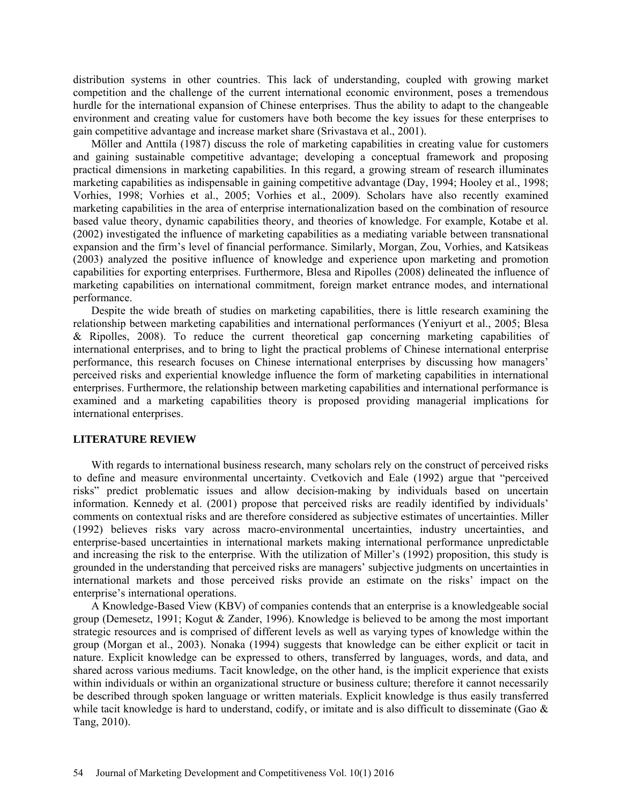distribution systems in other countries. This lack of understanding, coupled with growing market competition and the challenge of the current international economic environment, poses a tremendous hurdle for the international expansion of Chinese enterprises. Thus the ability to adapt to the changeable environment and creating value for customers have both become the key issues for these enterprises to gain competitive advantage and increase market share (Srivastava et al., 2001).

Möller and Anttila (1987) discuss the role of marketing capabilities in creating value for customers and gaining sustainable competitive advantage; developing a conceptual framework and proposing practical dimensions in marketing capabilities. In this regard, a growing stream of research illuminates marketing capabilities as indispensable in gaining competitive advantage (Day, 1994; Hooley et al., 1998; Vorhies, 1998; Vorhies et al., 2005; Vorhies et al., 2009). Scholars have also recently examined marketing capabilities in the area of enterprise internationalization based on the combination of resource based value theory, dynamic capabilities theory, and theories of knowledge. For example, Kotabe et al. (2002) investigated the influence of marketing capabilities as a mediating variable between transnational expansion and the firm's level of financial performance. Similarly, Morgan, Zou, Vorhies, and Katsikeas (2003) analyzed the positive influence of knowledge and experience upon marketing and promotion capabilities for exporting enterprises. Furthermore, Blesa and Ripolles (2008) delineated the influence of marketing capabilities on international commitment, foreign market entrance modes, and international performance.

Despite the wide breath of studies on marketing capabilities, there is little research examining the relationship between marketing capabilities and international performances (Yeniyurt et al., 2005; Blesa & Ripolles, 2008). To reduce the current theoretical gap concerning marketing capabilities of international enterprises, and to bring to light the practical problems of Chinese international enterprise performance, this research focuses on Chinese international enterprises by discussing how managers' perceived risks and experiential knowledge influence the form of marketing capabilities in international enterprises. Furthermore, the relationship between marketing capabilities and international performance is examined and a marketing capabilities theory is proposed providing managerial implications for international enterprises.

#### **LITERATURE REVIEW**

With regards to international business research, many scholars rely on the construct of perceived risks to define and measure environmental uncertainty. Cvetkovich and Eale (1992) argue that "perceived risks" predict problematic issues and allow decision-making by individuals based on uncertain information. Kennedy et al. (2001) propose that perceived risks are readily identified by individuals' comments on contextual risks and are therefore considered as subjective estimates of uncertainties. Miller (1992) believes risks vary across macro-environmental uncertainties, industry uncertainties, and enterprise-based uncertainties in international markets making international performance unpredictable and increasing the risk to the enterprise. With the utilization of Miller's (1992) proposition, this study is grounded in the understanding that perceived risks are managers' subjective judgments on uncertainties in international markets and those perceived risks provide an estimate on the risks' impact on the enterprise's international operations.

A Knowledge-Based View (KBV) of companies contends that an enterprise is a knowledgeable social group (Demesetz, 1991; Kogut & Zander, 1996). Knowledge is believed to be among the most important strategic resources and is comprised of different levels as well as varying types of knowledge within the group (Morgan et al., 2003). Nonaka (1994) suggests that knowledge can be either explicit or tacit in nature. Explicit knowledge can be expressed to others, transferred by languages, words, and data, and shared across various mediums. Tacit knowledge, on the other hand, is the implicit experience that exists within individuals or within an organizational structure or business culture; therefore it cannot necessarily be described through spoken language or written materials. Explicit knowledge is thus easily transferred while tacit knowledge is hard to understand, codify, or imitate and is also difficult to disseminate (Gao & Tang, 2010).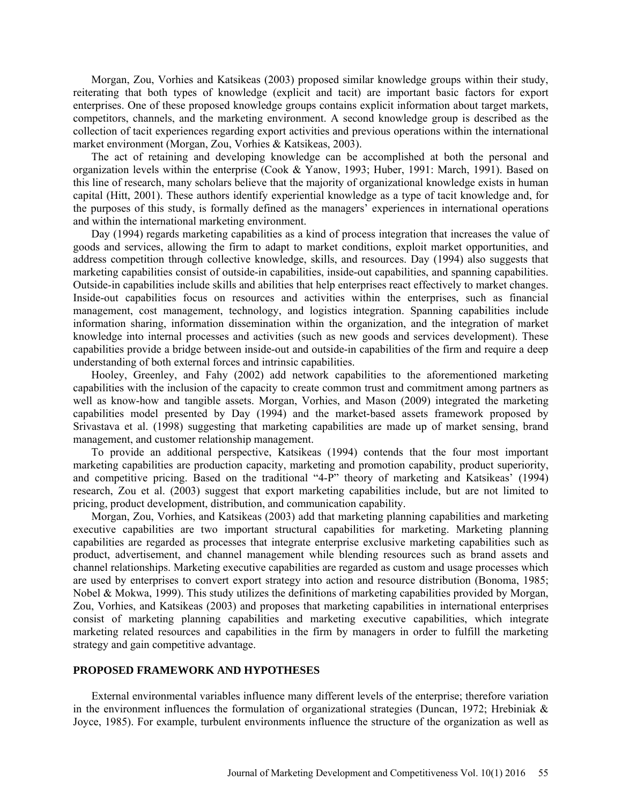Morgan, Zou, Vorhies and Katsikeas (2003) proposed similar knowledge groups within their study, reiterating that both types of knowledge (explicit and tacit) are important basic factors for export enterprises. One of these proposed knowledge groups contains explicit information about target markets, competitors, channels, and the marketing environment. A second knowledge group is described as the collection of tacit experiences regarding export activities and previous operations within the international market environment (Morgan, Zou, Vorhies & Katsikeas, 2003).

The act of retaining and developing knowledge can be accomplished at both the personal and organization levels within the enterprise (Cook & Yanow, 1993; Huber, 1991: March, 1991). Based on this line of research, many scholars believe that the majority of organizational knowledge exists in human capital (Hitt, 2001). These authors identify experiential knowledge as a type of tacit knowledge and, for the purposes of this study, is formally defined as the managers' experiences in international operations and within the international marketing environment.

Day (1994) regards marketing capabilities as a kind of process integration that increases the value of goods and services, allowing the firm to adapt to market conditions, exploit market opportunities, and address competition through collective knowledge, skills, and resources. Day (1994) also suggests that marketing capabilities consist of outside-in capabilities, inside-out capabilities, and spanning capabilities. Outside-in capabilities include skills and abilities that help enterprises react effectively to market changes. Inside-out capabilities focus on resources and activities within the enterprises, such as financial management, cost management, technology, and logistics integration. Spanning capabilities include information sharing, information dissemination within the organization, and the integration of market knowledge into internal processes and activities (such as new goods and services development). These capabilities provide a bridge between inside-out and outside-in capabilities of the firm and require a deep understanding of both external forces and intrinsic capabilities.

Hooley, Greenley, and Fahy (2002) add network capabilities to the aforementioned marketing capabilities with the inclusion of the capacity to create common trust and commitment among partners as well as know-how and tangible assets. Morgan, Vorhies, and Mason (2009) integrated the marketing capabilities model presented by Day (1994) and the market-based assets framework proposed by Srivastava et al. (1998) suggesting that marketing capabilities are made up of market sensing, brand management, and customer relationship management.

To provide an additional perspective, Katsikeas (1994) contends that the four most important marketing capabilities are production capacity, marketing and promotion capability, product superiority, and competitive pricing. Based on the traditional "4-P" theory of marketing and Katsikeas' (1994) research, Zou et al. (2003) suggest that export marketing capabilities include, but are not limited to pricing, product development, distribution, and communication capability.

Morgan, Zou, Vorhies, and Katsikeas (2003) add that marketing planning capabilities and marketing executive capabilities are two important structural capabilities for marketing. Marketing planning capabilities are regarded as processes that integrate enterprise exclusive marketing capabilities such as product, advertisement, and channel management while blending resources such as brand assets and channel relationships. Marketing executive capabilities are regarded as custom and usage processes which are used by enterprises to convert export strategy into action and resource distribution (Bonoma, 1985; Nobel & Mokwa, 1999). This study utilizes the definitions of marketing capabilities provided by Morgan, Zou, Vorhies, and Katsikeas (2003) and proposes that marketing capabilities in international enterprises consist of marketing planning capabilities and marketing executive capabilities, which integrate marketing related resources and capabilities in the firm by managers in order to fulfill the marketing strategy and gain competitive advantage.

## **PROPOSED FRAMEWORK AND HYPOTHESES**

External environmental variables influence many different levels of the enterprise; therefore variation in the environment influences the formulation of organizational strategies (Duncan, 1972; Hrebiniak  $\&$ Joyce, 1985). For example, turbulent environments influence the structure of the organization as well as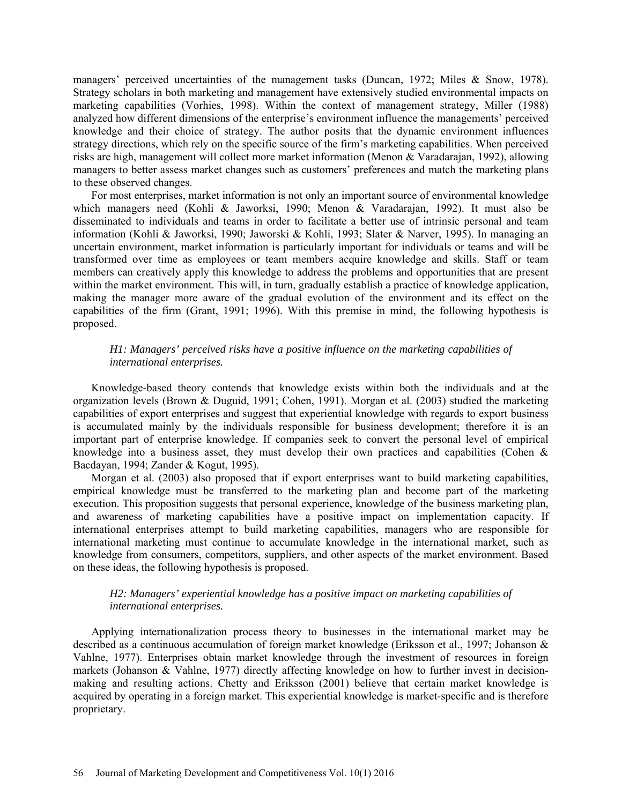managers' perceived uncertainties of the management tasks (Duncan, 1972; Miles & Snow, 1978). Strategy scholars in both marketing and management have extensively studied environmental impacts on marketing capabilities (Vorhies, 1998). Within the context of management strategy, Miller (1988) analyzed how different dimensions of the enterprise's environment influence the managements' perceived knowledge and their choice of strategy. The author posits that the dynamic environment influences strategy directions, which rely on the specific source of the firm's marketing capabilities. When perceived risks are high, management will collect more market information (Menon & Varadarajan, 1992), allowing managers to better assess market changes such as customers' preferences and match the marketing plans to these observed changes.

For most enterprises, market information is not only an important source of environmental knowledge which managers need (Kohli & Jaworksi, 1990; Menon & Varadarajan, 1992). It must also be disseminated to individuals and teams in order to facilitate a better use of intrinsic personal and team information (Kohli & Jaworksi, 1990; Jaworski & Kohli, 1993; Slater & Narver, 1995). In managing an uncertain environment, market information is particularly important for individuals or teams and will be transformed over time as employees or team members acquire knowledge and skills. Staff or team members can creatively apply this knowledge to address the problems and opportunities that are present within the market environment. This will, in turn, gradually establish a practice of knowledge application, making the manager more aware of the gradual evolution of the environment and its effect on the capabilities of the firm (Grant, 1991; 1996). With this premise in mind, the following hypothesis is proposed.

## *H1: Managers' perceived risks have a positive influence on the marketing capabilities of international enterprises.*

Knowledge-based theory contends that knowledge exists within both the individuals and at the organization levels (Brown & Duguid, 1991; Cohen, 1991). Morgan et al. (2003) studied the marketing capabilities of export enterprises and suggest that experiential knowledge with regards to export business is accumulated mainly by the individuals responsible for business development; therefore it is an important part of enterprise knowledge. If companies seek to convert the personal level of empirical knowledge into a business asset, they must develop their own practices and capabilities (Cohen & Bacdayan, 1994; Zander & Kogut, 1995).

Morgan et al. (2003) also proposed that if export enterprises want to build marketing capabilities, empirical knowledge must be transferred to the marketing plan and become part of the marketing execution. This proposition suggests that personal experience, knowledge of the business marketing plan, and awareness of marketing capabilities have a positive impact on implementation capacity. If international enterprises attempt to build marketing capabilities, managers who are responsible for international marketing must continue to accumulate knowledge in the international market, such as knowledge from consumers, competitors, suppliers, and other aspects of the market environment. Based on these ideas, the following hypothesis is proposed.

## *H2: Managers' experiential knowledge has a positive impact on marketing capabilities of international enterprises.*

Applying internationalization process theory to businesses in the international market may be described as a continuous accumulation of foreign market knowledge (Eriksson et al., 1997; Johanson & Vahlne, 1977). Enterprises obtain market knowledge through the investment of resources in foreign markets (Johanson & Vahlne, 1977) directly affecting knowledge on how to further invest in decisionmaking and resulting actions. Chetty and Eriksson (2001) believe that certain market knowledge is acquired by operating in a foreign market. This experiential knowledge is market-specific and is therefore proprietary.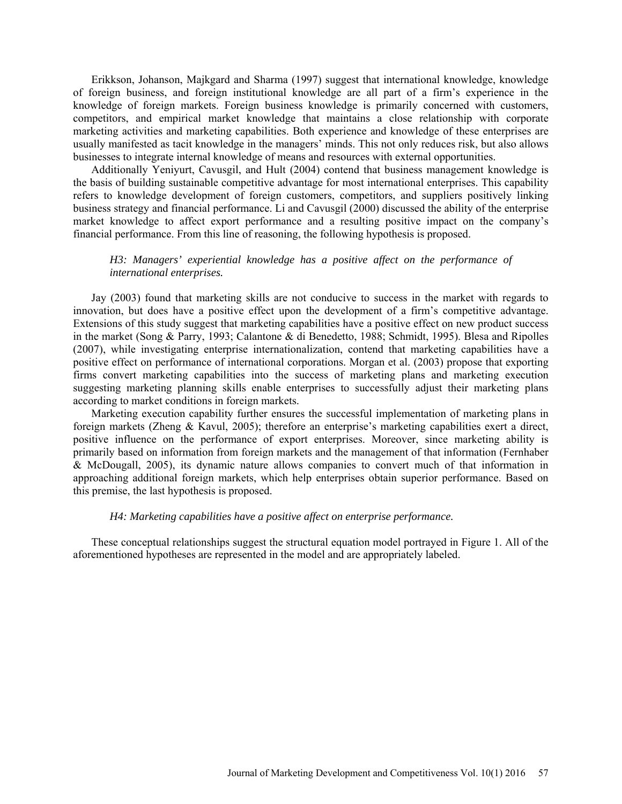Erikkson, Johanson, Majkgard and Sharma (1997) suggest that international knowledge, knowledge of foreign business, and foreign institutional knowledge are all part of a firm's experience in the knowledge of foreign markets. Foreign business knowledge is primarily concerned with customers, competitors, and empirical market knowledge that maintains a close relationship with corporate marketing activities and marketing capabilities. Both experience and knowledge of these enterprises are usually manifested as tacit knowledge in the managers' minds. This not only reduces risk, but also allows businesses to integrate internal knowledge of means and resources with external opportunities.

Additionally Yeniyurt, Cavusgil, and Hult (2004) contend that business management knowledge is the basis of building sustainable competitive advantage for most international enterprises. This capability refers to knowledge development of foreign customers, competitors, and suppliers positively linking business strategy and financial performance. Li and Cavusgil (2000) discussed the ability of the enterprise market knowledge to affect export performance and a resulting positive impact on the company's financial performance. From this line of reasoning, the following hypothesis is proposed.

## *H3: Managers' experiential knowledge has a positive affect on the performance of international enterprises.*

Jay (2003) found that marketing skills are not conducive to success in the market with regards to innovation, but does have a positive effect upon the development of a firm's competitive advantage. Extensions of this study suggest that marketing capabilities have a positive effect on new product success in the market (Song & Parry, 1993; Calantone & di Benedetto, 1988; Schmidt, 1995). Blesa and Ripolles (2007), while investigating enterprise internationalization, contend that marketing capabilities have a positive effect on performance of international corporations. Morgan et al. (2003) propose that exporting firms convert marketing capabilities into the success of marketing plans and marketing execution suggesting marketing planning skills enable enterprises to successfully adjust their marketing plans according to market conditions in foreign markets.

Marketing execution capability further ensures the successful implementation of marketing plans in foreign markets (Zheng & Kavul, 2005); therefore an enterprise's marketing capabilities exert a direct, positive influence on the performance of export enterprises. Moreover, since marketing ability is primarily based on information from foreign markets and the management of that information (Fernhaber & McDougall, 2005), its dynamic nature allows companies to convert much of that information in approaching additional foreign markets, which help enterprises obtain superior performance. Based on this premise, the last hypothesis is proposed.

## *H4: Marketing capabilities have a positive affect on enterprise performance.*

These conceptual relationships suggest the structural equation model portrayed in Figure 1. All of the aforementioned hypotheses are represented in the model and are appropriately labeled.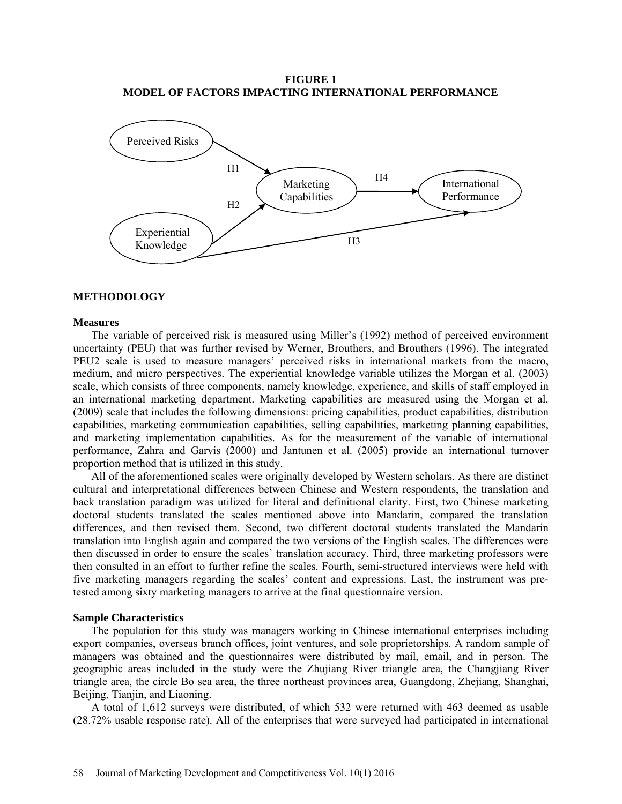**FIGURE 1 MODEL OF FACTORS IMPACTING INTERNATIONAL PERFORMANCE**



## **METHODOLOGY**

#### **Measures**

The variable of perceived risk is measured using Miller's (1992) method of perceived environment uncertainty (PEU) that was further revised by Werner, Brouthers, and Brouthers (1996). The integrated PEU2 scale is used to measure managers' perceived risks in international markets from the macro, medium, and micro perspectives. The experiential knowledge variable utilizes the Morgan et al. (2003) scale, which consists of three components, namely knowledge, experience, and skills of staff employed in an international marketing department. Marketing capabilities are measured using the Morgan et al. (2009) scale that includes the following dimensions: pricing capabilities, product capabilities, distribution capabilities, marketing communication capabilities, selling capabilities, marketing planning capabilities, and marketing implementation capabilities. As for the measurement of the variable of international performance, Zahra and Garvis (2000) and Jantunen et al. (2005) provide an international turnover proportion method that is utilized in this study.

All of the aforementioned scales were originally developed by Western scholars. As there are distinct cultural and interpretational differences between Chinese and Western respondents, the translation and back translation paradigm was utilized for literal and definitional clarity. First, two Chinese marketing doctoral students translated the scales mentioned above into Mandarin, compared the translation differences, and then revised them. Second, two different doctoral students translated the Mandarin translation into English again and compared the two versions of the English scales. The differences were then discussed in order to ensure the scales' translation accuracy. Third, three marketing professors were then consulted in an effort to further refine the scales. Fourth, semi-structured interviews were held with five marketing managers regarding the scales' content and expressions. Last, the instrument was pretested among sixty marketing managers to arrive at the final questionnaire version.

#### **Sample Characteristics**

The population for this study was managers working in Chinese international enterprises including export companies, overseas branch offices, joint ventures, and [sole proprietorships](app:ds:sole%20proprietorship). A random sample of managers was obtained and the questionnaires were distributed by mail, email, and in person. The geographic areas included in the study were the Zhujiang River triangle area, the Changjiang River triangle area, the circle Bo sea area, the three northeast provinces area, Guangdong, Zhejiang, Shanghai, Beijing, Tianjin, and Liaoning.

A total of 1,612 surveys were distributed, of which 532 were returned with 463 deemed as usable (28.72% usable response rate). All of the enterprises that were surveyed had participated in international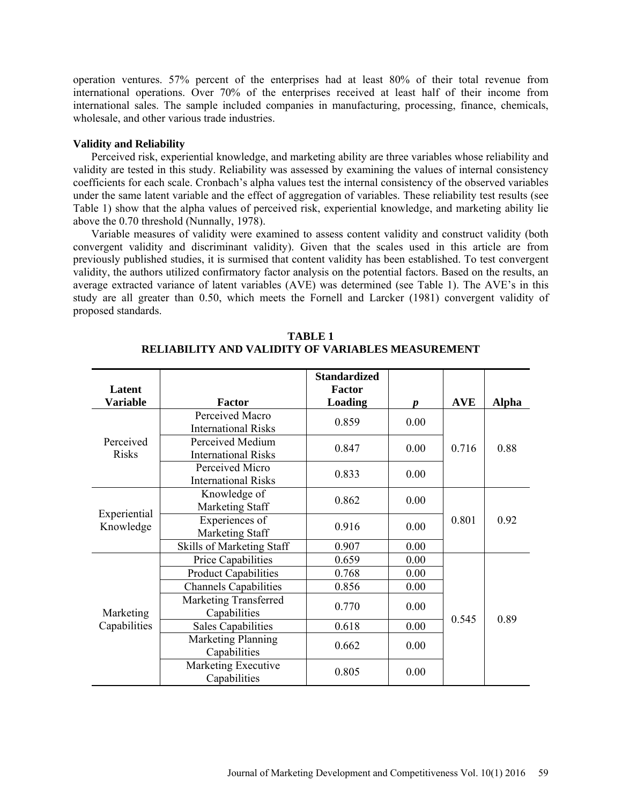operation ventures. 57% percent of the enterprises had at least 80% of their total revenue from international operations. Over 70% of the enterprises received at least half of their income from international sales. The sample included companies in manufacturing, processing, finance, chemicals, wholesale, and other various trade industries.

#### **Validity and Reliability**

Perceived risk, experiential knowledge, and marketing ability are three variables whose reliability and validity are tested in this study. Reliability was assessed by examining the values of internal consistency coefficients for each scale. Cronbach's alpha values test the internal consistency of the observed variables under the same latent variable and the effect of aggregation of variables. These reliability test results (see Table 1) show that the alpha values of perceived risk, experiential knowledge, and marketing ability lie above the 0.70 threshold (Nunnally, 1978).

Variable measures of validity were examined to assess content validity and construct validity (both convergent validity and discriminant validity). Given that the scales used in this article are from previously published studies, it is surmised that content validity has been established. To test convergent validity, the authors utilized confirmatory factor analysis on the potential factors. Based on the results, an average extracted variance of latent variables (AVE) was determined (see Table 1). The AVE's in this study are all greater than 0.50, which meets the Fornell and Larcker (1981) convergent validity of proposed standards.

| Latent                    |                                                | <b>Standardized</b><br><b>Factor</b> |                  |            |              |
|---------------------------|------------------------------------------------|--------------------------------------|------------------|------------|--------------|
| <b>Variable</b>           | <b>Factor</b>                                  | <b>Loading</b>                       | $\boldsymbol{p}$ | <b>AVE</b> | <b>Alpha</b> |
| Perceived<br>Risks        | Perceived Macro<br><b>International Risks</b>  | 0.859                                | 0.00             |            |              |
|                           | Perceived Medium<br><b>International Risks</b> | 0.847                                | 0.00             | 0.716      | 0.88         |
|                           | Perceived Micro<br><b>International Risks</b>  | 0.833                                | 0.00             |            |              |
| Experiential<br>Knowledge | Knowledge of<br>Marketing Staff                | 0.862                                | 0.00             |            | 0.92         |
|                           | Experiences of<br>Marketing Staff              | 0.916                                | 0.00             | 0.801      |              |
|                           | <b>Skills of Marketing Staff</b>               | 0.907                                | 0.00             |            |              |
| Marketing<br>Capabilities | Price Capabilities                             | 0.659                                | 0.00             |            |              |
|                           | <b>Product Capabilities</b>                    | 0.768                                | 0.00             |            |              |
|                           | <b>Channels Capabilities</b>                   | 0.856                                | 0.00             |            |              |
|                           | <b>Marketing Transferred</b><br>Capabilities   | 0.770                                | 0.00             | 0.545      | 0.89         |
|                           | <b>Sales Capabilities</b>                      | 0.618                                | 0.00             |            |              |
|                           | <b>Marketing Planning</b><br>Capabilities      | 0.662                                | 0.00             |            |              |
|                           | Marketing Executive<br>Capabilities            | 0.805                                | 0.00             |            |              |

## **TABLE 1 RELIABILITY AND VALIDITY OF VARIABLES MEASUREMENT**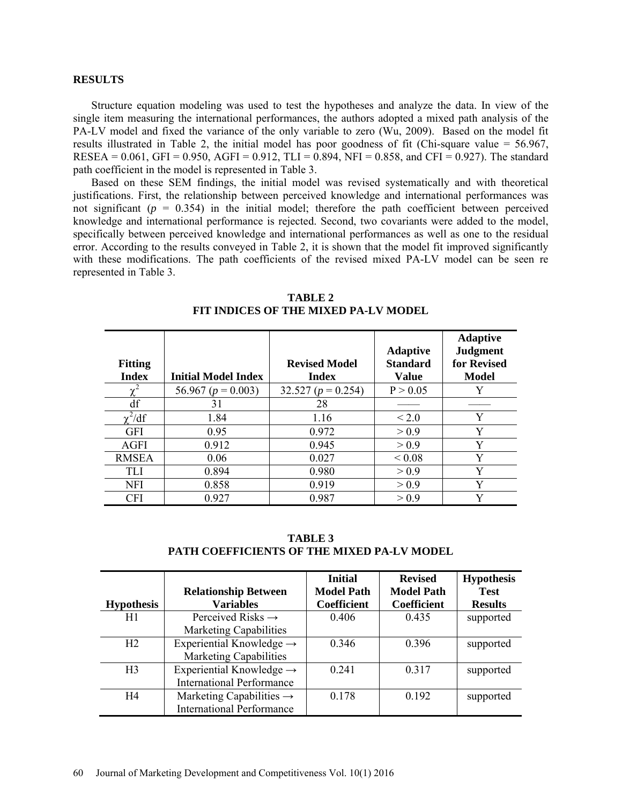#### **RESULTS**

Structure equation modeling was used to test the hypotheses and analyze the data. In view of the single item measuring the international performances, the authors adopted a mixed path analysis of the PA-LV model and fixed the [variance](app:ds:variance) of the only variable to zero (Wu, 2009). Based on the model fit results illustrated in Table 2, the initial model has poor goodness of fit (Chi-square value = 56.967, RESEA =  $0.061$ , GFI =  $0.950$ , AGFI =  $0.912$ , TLI =  $0.894$ , NFI =  $0.858$ , and CFI =  $0.927$ ). The standard path coefficient in the model is represented in Table 3.

Based on these SEM findings, the initial model was revised systematically and with theoretical justifications. First, the relationship between perceived knowledge and international performances was not significant  $(p = 0.354)$  in the initial model; therefore the path coefficient between perceived knowledge and international performance is rejected. Second, two covariants were added to the model, specifically between perceived knowledge and international performances as well as one to the residual error. According to the results conveyed in Table 2, it is shown that the model fit improved significantly with these modifications. The path coefficients of the revised mixed PA-LV model can be seen re represented in Table 3.

| <b>Fitting</b><br><b>Index</b> | <b>Initial Model Index</b> | <b>Revised Model</b><br><b>Index</b> | <b>Adaptive</b><br><b>Standard</b><br><b>Value</b> | <b>Adaptive</b><br><b>Judgment</b><br>for Revised<br><b>Model</b> |
|--------------------------------|----------------------------|--------------------------------------|----------------------------------------------------|-------------------------------------------------------------------|
| $\gamma$                       | 56.967 ( $p = 0.003$ )     | 32.527 ( $p = 0.254$ )               | P > 0.05                                           | Y                                                                 |
| df                             | 31                         | 28                                   |                                                    |                                                                   |
| $\chi^2/df$                    | 1.84                       | 1.16                                 | $\leq 2.0$                                         | Y                                                                 |
| <b>GFI</b>                     | 0.95                       | 0.972                                | > 0.9                                              | Y                                                                 |
| <b>AGFI</b>                    | 0.912                      | 0.945                                | > 0.9                                              | Y                                                                 |
| <b>RMSEA</b>                   | 0.06                       | 0.027                                | ${}_{0.08}$                                        | Y                                                                 |
| TLI                            | 0.894                      | 0.980                                | > 0.9                                              | Y                                                                 |
| NFI                            | 0.858                      | 0.919                                | > 0.9                                              | Y                                                                 |
| <b>CFI</b>                     | 0.927                      | 0.987                                | > 0.9                                              | V                                                                 |

**TABLE 2 FIT INDICES OF THE MIXED PA-LV MODEL**

**TABLE 3 PATH COEFFICIENTS OF THE MIXED PA-LV MODEL**

|                   |                                      | <b>Initial</b>     | <b>Revised</b>     | <b>Hypothesis</b> |
|-------------------|--------------------------------------|--------------------|--------------------|-------------------|
|                   | <b>Relationship Between</b>          | <b>Model Path</b>  | <b>Model Path</b>  | <b>Test</b>       |
| <b>Hypothesis</b> | <b>Variables</b>                     | <b>Coefficient</b> | <b>Coefficient</b> | <b>Results</b>    |
| H1                | Perceived Risks $\rightarrow$        | 0.406              | 0.435              | supported         |
|                   | <b>Marketing Capabilities</b>        |                    |                    |                   |
| H <sub>2</sub>    | Experiential Knowledge $\rightarrow$ | 0.346              | 0.396              | supported         |
|                   | <b>Marketing Capabilities</b>        |                    |                    |                   |
| H <sub>3</sub>    | Experiential Knowledge $\rightarrow$ | 0241               | 0.317              | supported         |
|                   | <b>International Performance</b>     |                    |                    |                   |
| H4                | Marketing Capabilities $\rightarrow$ | 0.178              | 0.192              | supported         |
|                   | <b>International Performance</b>     |                    |                    |                   |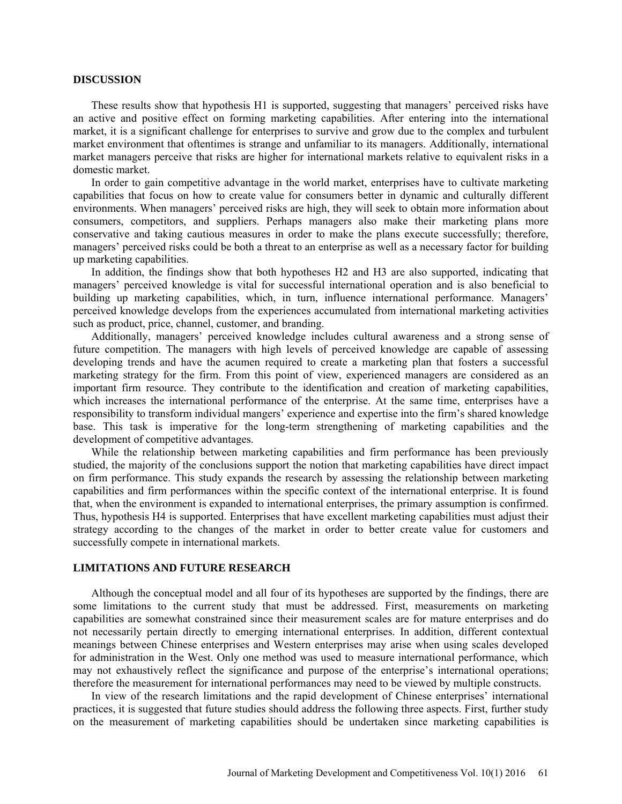#### **DISCUSSION**

These results show that hypothesis H1 is supported, suggesting that managers' perceived risks have an active and positive effect on forming marketing capabilities. After entering into the international market, it is a significant challenge for enterprises to survive and grow due to the complex and turbulent market environment that oftentimes is strange and unfamiliar to its managers. Additionally, international market managers perceive that risks are higher for international markets relative to equivalent risks in a domestic market.

In order to gain competitive advantage in the world market, enterprises have to cultivate marketing capabilities that focus on how to create value for consumers better in dynamic and culturally different environments. When managers' perceived risks are high, they will seek to obtain more information about consumers, competitors, and suppliers. Perhaps managers also make their marketing plans more conservative and taking cautious measures in order to make the plans execute successfully; therefore, managers' perceived risks could be both a threat to an enterprise as well as a necessary factor for building up marketing capabilities.

In addition, the findings show that both hypotheses H2 and H3 are also supported, indicating that managers' perceived knowledge is vital for successful international operation and is also beneficial to building up marketing capabilities, which, in turn, influence international performance. Managers' perceived knowledge develops from the experiences accumulated from international marketing activities such as product, price, channel, customer, and branding.

Additionally, managers' perceived knowledge includes cultural awareness and a strong sense of future competition. The managers with high levels of perceived knowledge are capable of assessing developing trends and have the acumen required to create a marketing plan that fosters a successful marketing strategy for the firm. From this point of view, experienced managers are considered as an important firm resource. They contribute to the identification and creation of marketing capabilities, which increases the international performance of the enterprise. At the same time, enterprises have a responsibility to transform individual mangers' experience and expertise into the firm's shared knowledge base. This task is imperative for the long-term strengthening of marketing capabilities and the development of competitive advantages.

While the relationship between marketing capabilities and firm performance has been previously studied, the majority of the conclusions support the notion that marketing capabilities have direct impact on firm performance. This study expands the research by assessing the relationship between marketing capabilities and firm performances within the specific context of the international enterprise. It is found that, when the environment is expanded to international enterprises, the primary assumption is confirmed. Thus, hypothesis H4 is supported. Enterprises that have excellent marketing capabilities must adjust their strategy according to the changes of the market in order to better create value for customers and successfully compete in international markets.

#### **LIMITATIONS AND FUTURE RESEARCH**

Although the conceptual model and all four of its hypotheses are supported by the findings, there are some limitations to the current study that must be addressed. First, measurements on marketing capabilities are somewhat constrained since their measurement scales are for mature enterprises and do not necessarily pertain directly to emerging international enterprises. In addition, different contextual meanings between Chinese enterprises and Western enterprises may arise when using scales developed for administration in the West. Only one method was used to measure international performance, which may not exhaustively reflect the significance and purpose of the enterprise's international operations; therefore the measurement for international performances may need to be viewed by multiple constructs.

In view of the research limitations and the rapid development of Chinese enterprises' international practices, it is suggested that future studies should address the following three aspects. First, further study on the measurement of marketing capabilities should be undertaken since marketing capabilities is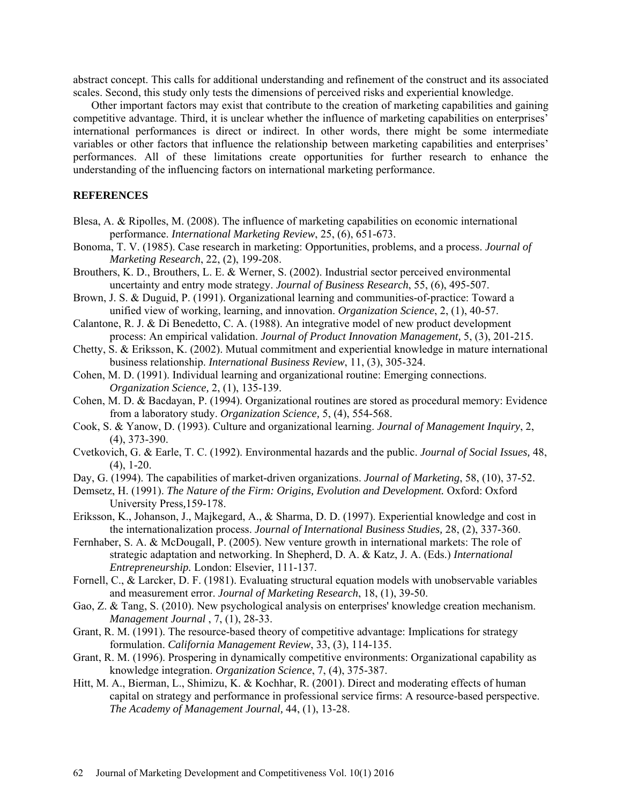abstract concept. This calls for additional understanding and refinement of the construct and its associated scales. Second, this study only tests the dimensions of perceived risks and experiential knowledge.

Other important factors may exist that contribute to the creation of marketing capabilities and gaining competitive advantage. Third, it is unclear whether the influence of marketing capabilities on enterprises' international performances is direct or indirect. In other words, there might be some intermediate variables or other factors that influence the relationship between marketing capabilities and enterprises' performances. All of these limitations create opportunities for further research to enhance the understanding of the influencing factors on international marketing performance.

## **REFERENCES**

- Blesa, A. & Ripolles, M. (2008). The influence of marketing capabilities on economic international performance. *International Marketing Review*, 25, (6), 651-673.
- Bonoma, T. V. (1985). Case research in marketing: Opportunities, problems, and a process. *Journal of Marketing Research*, 22, (2), 199-208.
- Brouthers, K. D., Brouthers, L. E. & Werner, S. (2002). Industrial sector perceived environmental uncertainty and entry mode strategy. *Journal of Business Research*, 55, (6), 495-507.
- Brown, J. S. & Duguid, P. (1991). Organizational learning and communities-of-practice: Toward a unified view of working, learning, and innovation. *Organization Science*, 2, (1), 40-57.
- Calantone, R. J. & Di Benedetto, C. A. (1988). An integrative model of new product development process: An empirical validation. *Journal of Product Innovation Management,* 5, (3), 201-215.

Chetty, S. & Eriksson, K. (2002). Mutual commitment and experiential knowledge in mature international business relationship. *International Business Review*, 11, (3), 305-324.

- Cohen, M. D. (1991). Individual learning and organizational routine: Emerging connections. *Organization Science,* 2, (1), 135-139.
- Cohen, M. D. & Bacdayan, P. (1994). Organizational routines are stored as procedural memory: Evidence from a laboratory study. *Organization Science,* 5, (4), 554-568.
- Cook, S. & Yanow, D. (1993). Culture and organizational learning. *Journal of Management Inquiry*, 2, (4), 373-390.
- Cvetkovich, G. & Earle, T. C. (1992). Environmental hazards and the public. *Journal of Social Issues,* 48, (4), 1-20.
- Day, G. (1994). The capabilities of market-driven organizations. *Journal of Marketing*, 58, (10), 37-52.
- Demsetz, H. (1991). *The Nature of the Firm: Origins, Evolution and Development.* Oxford: Oxford University Press*,*159-178.
- Eriksson, K., Johanson, J., Majkegard, A., & Sharma, D. D. (1997). Experiential knowledge and cost in the internationalization process. *Journal of International Business Studies,* 28, (2), 337-360.
- Fernhaber, S. A. & McDougall, P. (2005). New venture growth in international markets: The role of strategic adaptation and networking. In Shepherd, D. A. & Katz, J. A. (Eds.) *International Entrepreneurship.* London: Elsevier, 111-137.
- Fornell, C., & Larcker, D. F. (1981). Evaluating structural equation models with unobservable variables and measurement error. *Journal of Marketing Research*, 18, (1), 39-50.
- Gao, Z. & Tang, S. (2010). New psychological analysis on enterprises' knowledge creation mechanism. *Management Journal* , 7, (1), 28-33.
- Grant, R. M. (1991). The resource-based theory of competitive advantage: Implications for strategy formulation. *California Management Review*, 33, (3), 114-135.
- Grant, R. M. (1996). Prospering in dynamically competitive environments: Organizational capability as knowledge integration. *Organization Science*, 7, (4), 375-387.
- Hitt, M. A., Bierman, L., Shimizu, K. & Kochhar, R. (2001). Direct and moderating effects of human capital on strategy and performance in professional service firms: A resource-based perspective. *The Academy of Management Journal,* 44, (1), 13-28.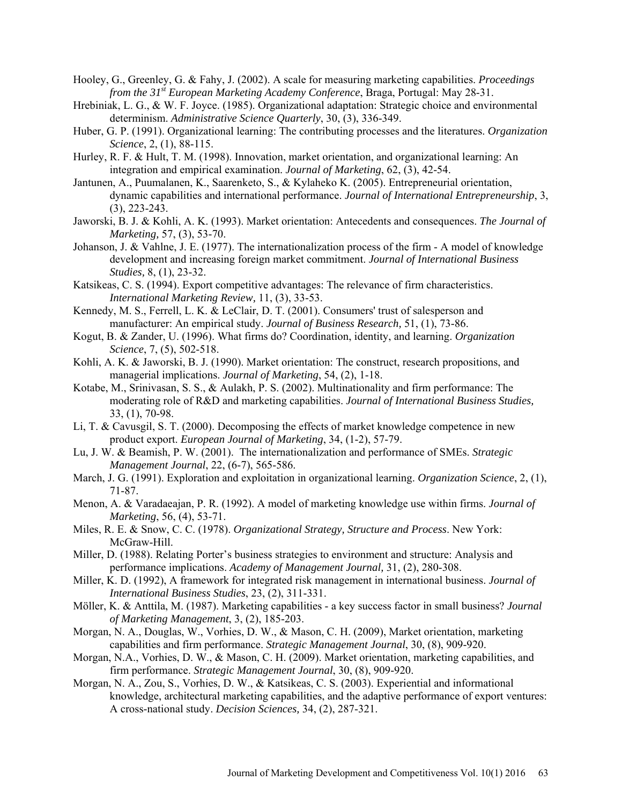- Hooley, G., Greenley, G. & Fahy, J. (2002). A scale for measuring marketing capabilities. *Proceedings from the 31st European Marketing Academy Conference*, Braga, Portugal: May 28-31.
- Hrebiniak, L. G., & W. F. Joyce. (1985). Organizational adaptation: Strategic choice and environmental determinism. *Administrative Science Quarterly*, 30, (3), 336-349.
- Huber, G. P. (1991). Organizational learning: The contributing processes and the literatures. *Organization Science*, 2, (1), 88-115.
- Hurley, R. F. & Hult, T. M. (1998). Innovation, market orientation, and organizational learning: An integration and empirical examination. *Journal of Marketing*, 62, (3), 42-54.
- Jantunen, A., Puumalanen, K., Saarenketo, S., & Kylaheko K. (2005). Entrepreneurial orientation, dynamic capabilities and international performance. *Journal of International Entrepreneurship*, 3, (3), 223-243.
- Jaworski, B. J. & Kohli, A. K. (1993). Market orientation: Antecedents and consequences. *The Journal of Marketing,* 57, (3), 53-70.
- Johanson, J. & Vahlne, J. E. (1977). The internationalization process of the firm A model of knowledge development and increasing foreign market commitment. *Journal of International Business Studies,* 8, (1), 23-32.
- Katsikeas, C. S. (1994). Export competitive advantages: The relevance of firm characteristics. *International Marketing Review,* 11, (3), 33-53.
- Kennedy, M. S., Ferrell, L. K. & LeClair, D. T. (2001). Consumers' trust of salesperson and manufacturer: An empirical study. *Journal of Business Research,* 51, (1), 73-86.
- Kogut, B. & Zander, U. (1996). What firms do? Coordination, identity, and learning. *Organization Science*, 7, (5), 502-518.
- Kohli, A. K. & Jaworski, B. J. (1990). Market orientation: The construct, research propositions, and managerial implications. *Journal of Marketing*, 54, (2), 1-18.
- Kotabe, M., Srinivasan, S. S., & Aulakh, P. S. (2002). Multinationality and firm performance: The moderating role of R&D and marketing capabilities. *Journal of International Business Studies,*  33, (1), 70-98.
- Li, T. & Cavusgil, S. T. (2000). Decomposing the effects of market knowledge competence in new product export. *European Journal of Marketing*, 34, (1-2), 57-79.
- Lu, J. W. & Beamish, P. W. (2001). The internationalization and performance of SMEs. *Strategic Management Journal*, 22, (6-7), 565-586.
- March, J. G. (1991). Exploration and exploitation in organizational learning. *Organization Science*, 2, (1), 71-87.
- Menon, A. & Varadaeajan, P. R. (1992). A model of marketing knowledge use within firms. *Journal of Marketing*, 56, (4), 53-71.
- Miles, R. E. & Snow, C. C. (1978). *Organizational Strategy, Structure and Process*. New York: McGraw-Hill.
- Miller, D. (1988). Relating Porter's business strategies to environment and structure: Analysis and performance implications. *Academy of Management Journal,* 31, (2), 280-308.
- Miller, K. D. (1992), A framework for integrated risk management in international business. *Journal of International Business Studies*, 23, (2), 311-331.
- Möller, K. & Anttila, M. (1987). Marketing capabilities a key success factor in small business? *Journal of Marketing Management*, 3, (2), 185-203.
- Morgan, N. A., Douglas, W., Vorhies, D. W., & Mason, C. H. (2009), Market orientation, marketing capabilities and firm performance. *Strategic Management Journal*, 30, (8), 909-920.
- Morgan, N.A., Vorhies, D. W., & Mason, C. H. (2009). Market orientation, marketing capabilities, and firm performance. *Strategic Management Journal*, 30, (8), 909-920.
- Morgan, N. A., Zou, S., Vorhies, D. W., & Katsikeas, C. S. (2003). Experiential and informational knowledge, architectural marketing capabilities, and the adaptive performance of export ventures: A cross-national study. *Decision Sciences,* 34, (2), 287-321.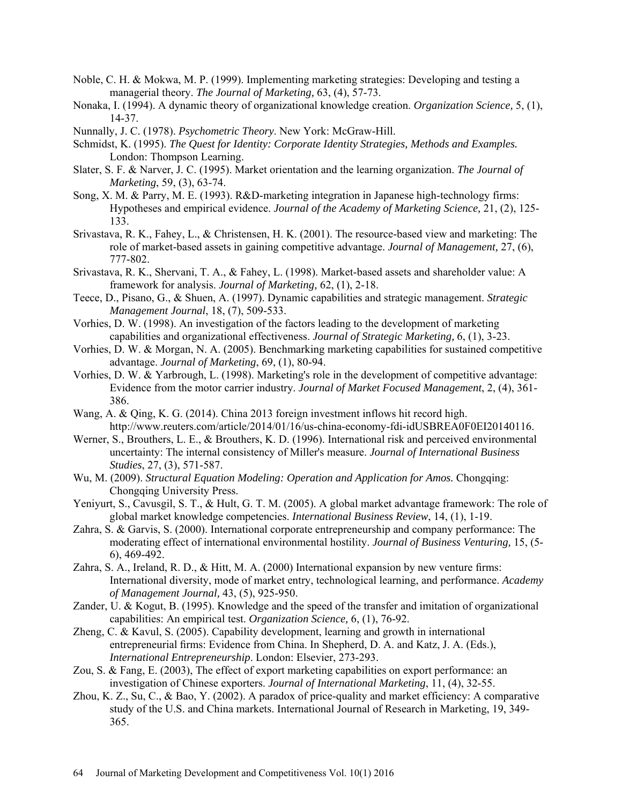- Noble, C. H. & Mokwa, M. P. (1999). Implementing marketing strategies: Developing and testing a managerial theory. *The Journal of Marketing,* 63, (4), 57-73.
- Nonaka, I. (1994). A dynamic theory of organizational knowledge creation. *Organization Science,* 5, (1), 14-37.
- Nunnally, J. C. (1978). *Psychometric Theory*. New York: McGraw-Hill.
- Schmidst, K. (1995). *The Quest for Identity: Corporate Identity Strategies, Methods and Examples.* London: Thompson Learning.
- Slater, S. F. & Narver, J. C. (1995). Market orientation and the learning organization. *The Journal of Marketing*, 59, (3), 63-74.
- Song, X. M. & Parry, M. E. (1993). R&D-marketing integration in Japanese high-technology firms: Hypotheses and empirical evidence. *Journal of the Academy of Marketing Science,* 21, (2), 125- 133.
- Srivastava, R. K., Fahey, L., & Christensen, H. K. (2001). The resource-based view and marketing: The role of market-based assets in gaining competitive advantage. *Journal of Management,* 27, (6), 777-802.
- Srivastava, R. K., Shervani, T. A., & Fahey, L. (1998). Market-based assets and shareholder value: A framework for analysis. *Journal of Marketing,* 62, (1), 2-18.
- Teece, D., Pisano, G., & Shuen, A. (1997). Dynamic capabilities and strategic management. *Strategic Management Journal*, 18, (7), 509-533.
- Vorhies, D. W. (1998). An investigation of the factors leading to the development of marketing capabilities and organizational effectiveness. *Journal of Strategic Marketing,* 6, (1), 3-23.
- Vorhies, D. W. & Morgan, N. A. (2005). Benchmarking marketing capabilities for sustained competitive advantage. *Journal of Marketing*, 69, (1), 80-94.
- Vorhies, D. W. & Yarbrough, L. (1998). Marketing's role in the development of competitive advantage: Evidence from the motor carrier industry. *Journal of Market Focused Management*, 2, (4), 361- 386.
- Wang, A. & Qing, K. G. (2014). China 2013 foreign investment inflows hit record high. http://www.reuters.com/article/2014/01/16/us-china-economy-fdi-idUSBREA0F0EI20140116.
- Werner, S., Brouthers, L. E., & Brouthers, K. D. (1996). International risk and perceived environmental uncertainty: The internal consistency of Miller's measure. *[Journal of International Business](http://www.palgrave-journals.com/jibs/)  [Studies](http://www.palgrave-journals.com/jibs/)*, 27, (3), 571-587.
- Wu, M. (2009). *Structural Equation Modeling: Operation and Application for Amos.* Chongqing: Chongqing University Press.
- Yeniyurt, S., Cavusgil, S. T., & Hult, G. T. M. (2005). A global market advantage framework: The role of global market knowledge competencies. *International Business Review*, 14, (1), 1-19.
- Zahra, S. & Garvis, S. (2000). International corporate entrepreneurship and company performance: The moderating effect of international environmental hostility. *Journal of Business Venturing,* 15, (5- 6), 469-492.
- Zahra, S. A., Ireland, R. D., & Hitt, M. A. (2000) International expansion by new venture firms: International diversity, mode of market entry, technological learning, and performance. *Academy of Management Journal,* 43, (5), 925-950.
- Zander, U. & Kogut, B. (1995). Knowledge and the speed of the transfer and imitation of organizational capabilities: An empirical test. *Organization Science,* 6, (1), 76-92.
- Zheng, C. & Kavul, S. (2005). Capability development, learning and growth in international entrepreneurial firms: Evidence from China. In Shepherd, D. A. and Katz, J. A. (Eds.), *International Entrepreneurship*. London: Elsevier, 273-293.
- Zou, S. & Fang, E. (2003), The effect of export marketing capabilities on export performance: an investigation of Chinese exporters. *Journal of International Marketing*, 11, (4), 32-55.
- Zhou, K. Z., Su, C., & Bao, Y. (2002). A paradox of price-quality and market efficiency: A comparative study of the U.S. and China markets. International Journal of Research in Marketing, 19, 349- 365.